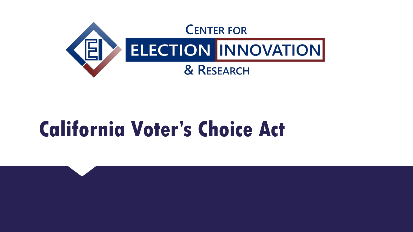

# **California Voter's Choice Act**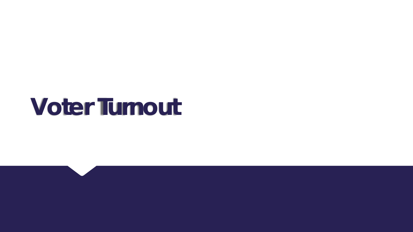# **Voter Turnout**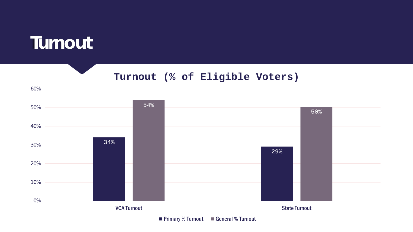

60%

#### **Turnout (% of Eligible Voters)**



■ Primary % Turnout ■ General % Turnout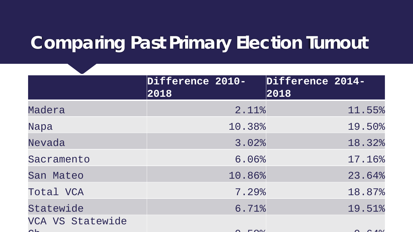## **Comparing Past Primary Election Turnout**

|                  | Difference 2010-<br>2018 |        | Difference 2014-<br>2018 |        |
|------------------|--------------------------|--------|--------------------------|--------|
| Madera           |                          | 2.11%  |                          | 11.55% |
| Napa             |                          | 10.38% |                          | 19.50% |
| Nevada           |                          | 3.02%  |                          | 18.32% |
| Sacramento       |                          | 6.06%  |                          | 17.16% |
| San Mateo        |                          | 10.86% |                          | 23.64% |
| Total VCA        |                          | 7.29%  |                          | 18.87% |
| Statewide        |                          | 6.71%  |                          | 19.51% |
| VCA VS Statewide |                          |        |                          |        |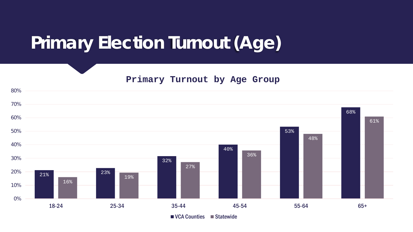## **Primary Election Turnout (Age)**

**Primary Turnout by Age Group**

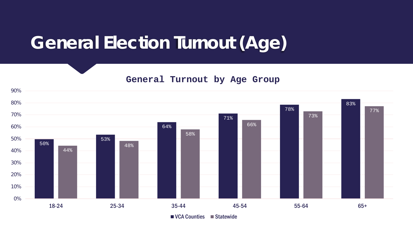### **General Election Turnout (Age)**

**General Turnout by Age Group**

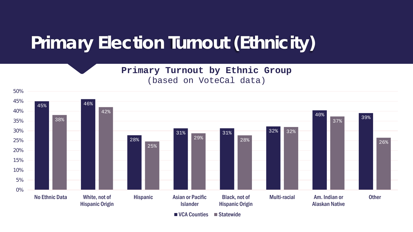## **Primary Election Turnout (Ethnicity)**

**Primary Turnout by Ethnic Group** (based on VoteCal data)



■ VCA Counties ■ Statewide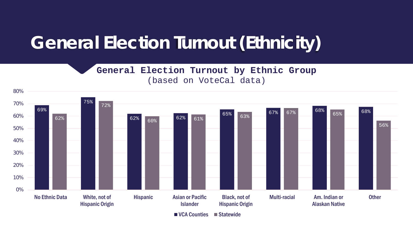## **General Election Turnout (Ethnicity)**

**General Election Turnout by Ethnic Group** (based on VoteCal data)



■ VCA Counties ■ Statewide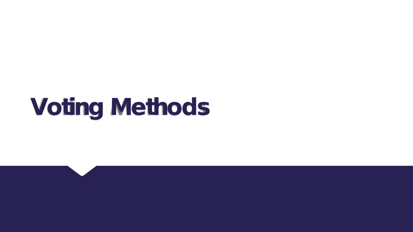# **Voting Methods**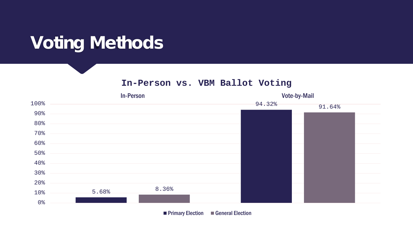## **Voting Methods**

**In-Person vs. VBM Ballot Voting**



**Primary Election General Election**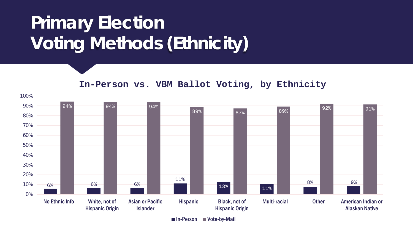# **Primary Election Voting Methods (Ethnicity)**

6% 6% 6% 6% 11% 13% 11% 8% 9% 94% 94% 94% 89% 87% 89% 92% 91% 0% 10% 20% 30% 40% 50% 60% 70% 80% 90% 100% No Ethnic Info White, not of Hispanic Origin Asian or Pacific Islander Hispanic Black, not of Hispanic Origin Multi-racial Other American Indian or Alaskan Native **In-Person vs. VBM Ballot Voting, by Ethnicity**

■ In-Person ■ Vote-by-Mail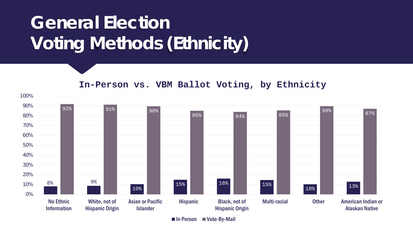# **General Election Voting Methods (Ethnicity)**

**In-Person vs. VBM Ballot Voting, by Ethnicity**



 $\blacksquare$  In Person  $\blacksquare$  Vote-By-Mail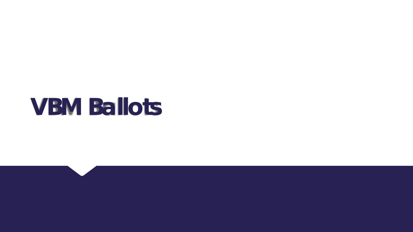# **VBM Ballots**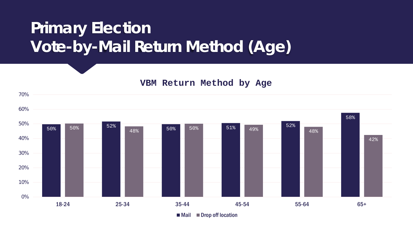### **Primary Election Vote-by-Mail Return Method (Age)**

#### **VBM Return Method by Age**

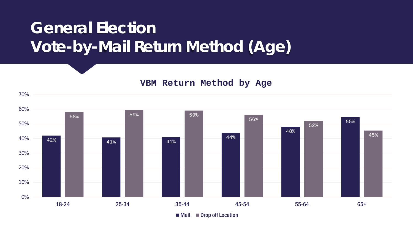### **General Election Vote-by-Mail Return Method (Age)**

#### **VBM Return Method by Age**

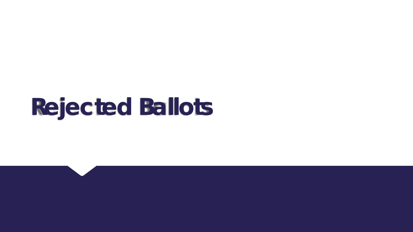# **Rejected Ballots**